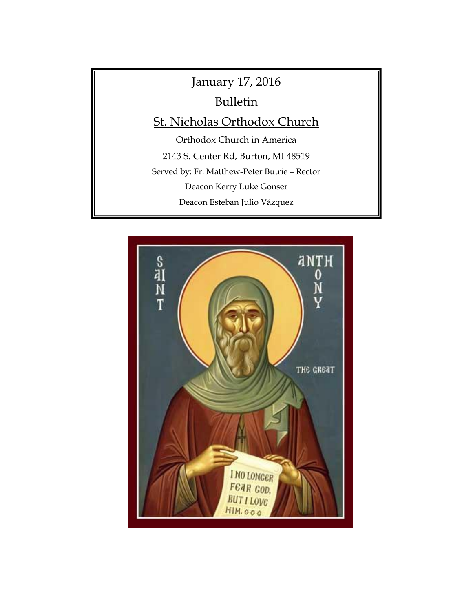# January 17, 2016 Bulletin St. Nicholas Orthodox Church Orthodox Church in America 2143 S. Center Rd, Burton, MI 48519 Served by: Fr. Matthew-Peter Butrie – Rector Deacon Kerry Luke Gonser Deacon Esteban Julio Vázquez web Page: [www.saintnicholasburton.org](http://www.saintnicholasburton.org/)

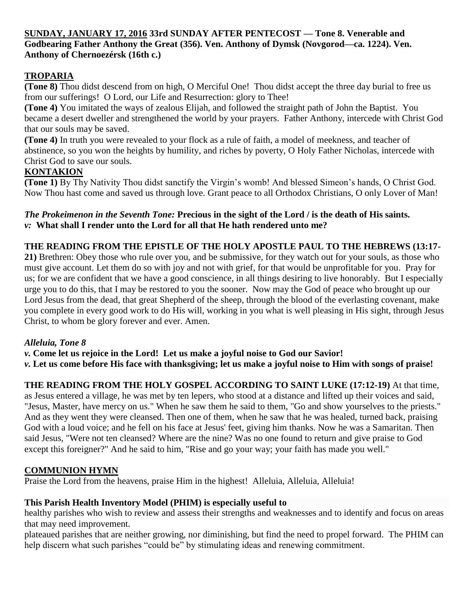#### **SUNDAY, JANUARY 17, 2016 33rd SUNDAY AFTER PENTECOST — Tone 8. Venerable and Godbearing Father Anthony the Great (356). Ven. Anthony of Dymsk (Novgorod—ca. 1224). Ven. Anthony of Chernoezérsk (16th c.)**

## **TROPARIA**

**(Tone 8)** Thou didst descend from on high, O Merciful One! Thou didst accept the three day burial to free us from our sufferings! O Lord, our Life and Resurrection: glory to Thee!

**(Tone 4)** You imitated the ways of zealous Elijah, and followed the straight path of John the Baptist. You became a desert dweller and strengthened the world by your prayers. Father Anthony, intercede with Christ God that our souls may be saved.

**(Tone 4)** In truth you were revealed to your flock as a rule of faith, a model of meekness, and teacher of abstinence, so you won the heights by humility, and riches by poverty, O Holy Father Nicholas, intercede with Christ God to save our souls.

## **KONTAKION**

**(Tone 1)** By Thy Nativity Thou didst sanctify the Virgin's womb! And blessed Simeon's hands, O Christ God. Now Thou hast come and saved us through love. Grant peace to all Orthodox Christians, O only Lover of Man!

#### *The Prokeimenon in the Seventh Tone:* **Precious in the sight of the Lord / is the death of His saints.** *v:* **What shall I render unto the Lord for all that He hath rendered unto me?**

## **THE READING FROM THE EPISTLE OF THE HOLY APOSTLE PAUL TO THE HEBREWS (13:17-**

**21)** Brethren: Obey those who rule over you, and be submissive, for they watch out for your souls, as those who must give account. Let them do so with joy and not with grief, for that would be unprofitable for you. Pray for us; for we are confident that we have a good conscience, in all things desiring to live honorably. But I especially urge you to do this, that I may be restored to you the sooner. Now may the God of peace who brought up our Lord Jesus from the dead, that great Shepherd of the sheep, through the blood of the everlasting covenant, make you complete in every good work to do His will, working in you what is well pleasing in His sight, through Jesus Christ, to whom be glory forever and ever. Amen.

## *Alleluia, Tone 8*

*v.* **Come let us rejoice in the Lord! Let us make a joyful noise to God our Savior!** *v.* **Let us come before His face with thanksgiving; let us make a joyful noise to Him with songs of praise!**

## **THE READING FROM THE HOLY GOSPEL ACCORDING TO SAINT LUKE (17:12-19)** At that time,

as Jesus entered a village, he was met by ten lepers, who stood at a distance and lifted up their voices and said, "Jesus, Master, have mercy on us." When he saw them he said to them, "Go and show yourselves to the priests." And as they went they were cleansed. Then one of them, when he saw that he was healed, turned back, praising God with a loud voice; and he fell on his face at Jesus' feet, giving him thanks. Now he was a Samaritan. Then said Jesus, "Were not ten cleansed? Where are the nine? Was no one found to return and give praise to God except this foreigner?" And he said to him, "Rise and go your way; your faith has made you well."

#### **COMMUNION HYMN**

Praise the Lord from the heavens, praise Him in the highest! Alleluia, Alleluia, Alleluia!

## **This Parish Health Inventory Model (PHIM) is especially useful to**

healthy parishes who wish to review and assess their strengths and weaknesses and to identify and focus on areas that may need improvement.

plateaued parishes that are neither growing, nor diminishing, but find the need to propel forward. The PHIM can help discern what such parishes "could be" by stimulating ideas and renewing commitment.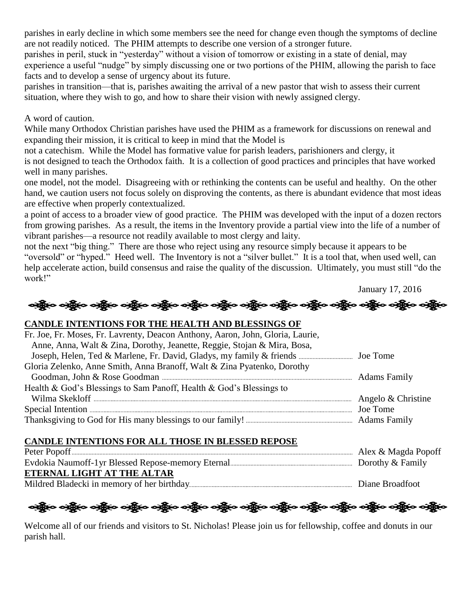parishes in early decline in which some members see the need for change even though the symptoms of decline are not readily noticed. The PHIM attempts to describe one version of a stronger future.

parishes in peril, stuck in "yesterday" without a vision of tomorrow or existing in a state of denial, may experience a useful "nudge" by simply discussing one or two portions of the PHIM, allowing the parish to face facts and to develop a sense of urgency about its future.

parishes in transition—that is, parishes awaiting the arrival of a new pastor that wish to assess their current situation, where they wish to go, and how to share their vision with newly assigned clergy.

A word of caution.

While many Orthodox Christian parishes have used the PHIM as a framework for discussions on renewal and expanding their mission, it is critical to keep in mind that the Model is

not a catechism. While the Model has formative value for parish leaders, parishioners and clergy, it

is not designed to teach the Orthodox faith. It is a collection of good practices and principles that have worked well in many parishes.

one model, not the model. Disagreeing with or rethinking the contents can be useful and healthy. On the other hand, we caution users not focus solely on disproving the contents, as there is abundant evidence that most ideas are effective when properly contextualized.

a point of access to a broader view of good practice. The PHIM was developed with the input of a dozen rectors from growing parishes. As a result, the items in the Inventory provide a partial view into the life of a number of vibrant parishes—a resource not readily available to most clergy and laity.

not the next "big thing." There are those who reject using any resource simply because it appears to be "oversold" or "hyped." Heed well. The Inventory is not a "silver bullet." It is a tool that, when used well, can help accelerate action, build consensus and raise the quality of the discussion. Ultimately, you must still "do the work!"

January 17, 2016

#### **CANDLE INTENTIONS FOR THE HEALTH AND BLESSINGS OF**

| Fr. Joe, Fr. Moses, Fr. Lavrenty, Deacon Anthony, Aaron, John, Gloria, Laurie, |          |
|--------------------------------------------------------------------------------|----------|
| Anne, Anna, Walt & Zina, Dorothy, Jeanette, Reggie, Stojan & Mira, Bosa,       |          |
|                                                                                |          |
| Gloria Zelenko, Anne Smith, Anna Branoff, Walt & Zina Pyatenko, Dorothy        |          |
|                                                                                |          |
| Health & God's Blessings to Sam Panoff, Health & God's Blessings to            |          |
|                                                                                |          |
|                                                                                | Joe Tome |
|                                                                                |          |
|                                                                                |          |

#### **CANDLE INTENTIONS FOR ALL THOSE IN BLESSED REPOSE**

|                            | Alex & Magda Popoff |
|----------------------------|---------------------|
|                            |                     |
| ETERNAL LIGHT AT THE ALTAR |                     |
|                            | Diane Broadfoot     |

ဖွဲ့ ပတ္သို့မ ပတ္သို့မ ပတ္သို့မ ပတ္သို့မ ပတ္သို့မ ပတ္သို့မ ပတ္သို့မ ပတ္သို့မ ပတ္သို့မ ပတ္သို့မ ပတ္သို့မ

Welcome all of our friends and visitors to St. Nicholas! Please join us for fellowship, coffee and donuts in our parish hall.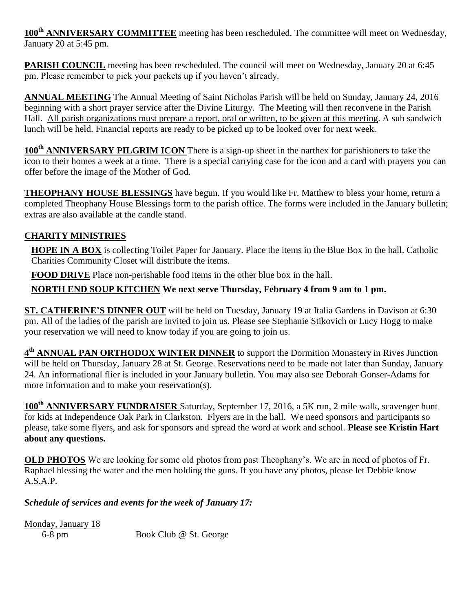**100th ANNIVERSARY COMMITTEE** meeting has been rescheduled. The committee will meet on Wednesday, January 20 at 5:45 pm.

**PARISH COUNCIL** meeting has been rescheduled. The council will meet on Wednesday, January 20 at 6:45 pm. Please remember to pick your packets up if you haven't already.

**ANNUAL MEETING** The Annual Meeting of Saint Nicholas Parish will be held on Sunday, January 24, 2016 beginning with a short prayer service after the Divine Liturgy. The Meeting will then reconvene in the Parish Hall. All parish organizations must prepare a report, oral or written, to be given at this meeting. A sub sandwich lunch will be held. Financial reports are ready to be picked up to be looked over for next week.

**100th ANNIVERSARY PILGRIM ICON** There is a sign-up sheet in the narthex for parishioners to take the icon to their homes a week at a time. There is a special carrying case for the icon and a card with prayers you can offer before the image of the Mother of God.

**THEOPHANY HOUSE BLESSINGS** have begun. If you would like Fr. Matthew to bless your home, return a completed Theophany House Blessings form to the parish office. The forms were included in the January bulletin; extras are also available at the candle stand.

## **CHARITY MINISTRIES**

**HOPE IN A BOX** is collecting Toilet Paper for January. Place the items in the Blue Box in the hall. Catholic Charities Community Closet will distribute the items.

**FOOD DRIVE** Place non-perishable food items in the other blue box in the hall.

**NORTH END SOUP KITCHEN We next serve Thursday, February 4 from 9 am to 1 pm.**

**ST. CATHERINE'S DINNER OUT** will be held on Tuesday, January 19 at Italia Gardens in Davison at 6:30 pm. All of the ladies of the parish are invited to join us. Please see Stephanie Stikovich or Lucy Hogg to make your reservation we will need to know today if you are going to join us.

**4 th ANNUAL PAN ORTHODOX WINTER DINNER** to support the Dormition Monastery in Rives Junction will be held on Thursday, January 28 at St. George. Reservations need to be made not later than Sunday, January 24. An informational flier is included in your January bulletin. You may also see Deborah Gonser-Adams for more information and to make your reservation(s).

**100th ANNIVERSARY FUNDRAISER** Saturday, September 17, 2016, a 5K run, 2 mile walk, scavenger hunt for kids at Independence Oak Park in Clarkston. Flyers are in the hall. We need sponsors and participants so please, take some flyers, and ask for sponsors and spread the word at work and school. **Please see Kristin Hart about any questions.**

**OLD PHOTOS** We are looking for some old photos from past Theophany's. We are in need of photos of Fr. Raphael blessing the water and the men holding the guns. If you have any photos, please let Debbie know A.S.A.P.

*Schedule of services and events for the week of January 17:*

Monday, January 18

6-8 pm Book Club @ St. George